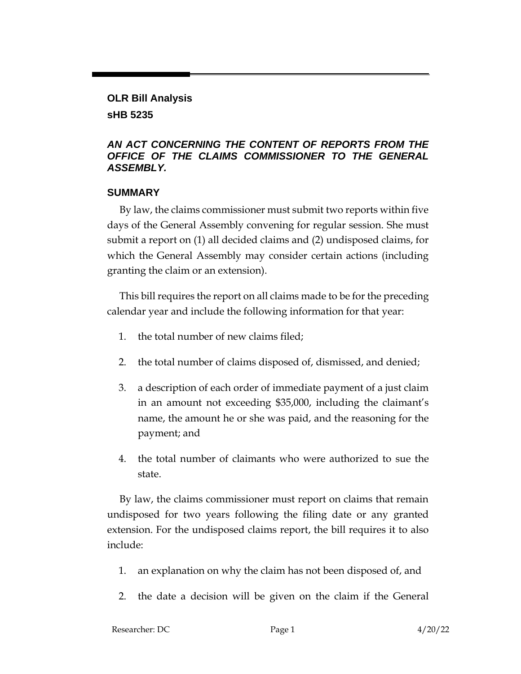## **OLR Bill Analysis sHB 5235**

#### *AN ACT CONCERNING THE CONTENT OF REPORTS FROM THE OFFICE OF THE CLAIMS COMMISSIONER TO THE GENERAL ASSEMBLY.*

#### **SUMMARY**

By law, the claims commissioner must submit two reports within five days of the General Assembly convening for regular session. She must submit a report on (1) all decided claims and (2) undisposed claims, for which the General Assembly may consider certain actions (including granting the claim or an extension).

This bill requires the report on all claims made to be for the preceding calendar year and include the following information for that year:

- 1. the total number of new claims filed;
- 2. the total number of claims disposed of, dismissed, and denied;
- 3. a description of each order of immediate payment of a just claim in an amount not exceeding \$35,000, including the claimant's name, the amount he or she was paid, and the reasoning for the payment; and
- 4. the total number of claimants who were authorized to sue the state.

By law, the claims commissioner must report on claims that remain undisposed for two years following the filing date or any granted extension. For the undisposed claims report, the bill requires it to also include:

- 1. an explanation on why the claim has not been disposed of, and
- 2. the date a decision will be given on the claim if the General